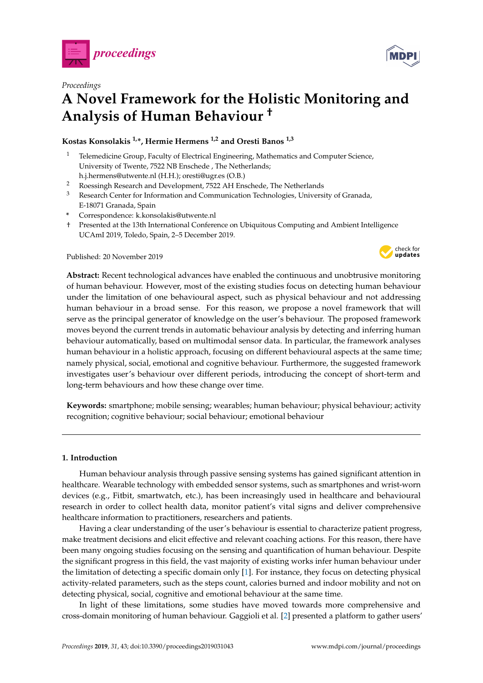

*Proceedings*

# **A Novel Framework for the Holistic Monitoring and Analysis of Human Behaviour †**

## **Kostas Konsolakis 1,\*, Hermie Hermens 1,2 and Oresti Banos 1,3**

- <sup>1</sup> Telemedicine Group, Faculty of Electrical Engineering, Mathematics and Computer Science, University of Twente, 7522 NB Enschede , The Netherlands; h.j.hermens@utwente.nl (H.H.); oresti@ugr.es (O.B.)
- <sup>2</sup> Roessingh Research and Development, 7522 AH Enschede, The Netherlands
- <sup>3</sup> Research Center for Information and Communication Technologies, University of Granada, E-18071 Granada, Spain
- **\*** Correspondence: k.konsolakis@utwente.nl
- † Presented at the 13th International Conference on Ubiquitous Computing and Ambient Intelligence UCAmI 2019, Toledo, Spain, 2–5 December 2019.

Published: 20 November 2019



**Keywords:** smartphone; mobile sensing; wearables; human behaviour; physical behaviour; activity recognition; cognitive behaviour; social behaviour; emotional behaviour

### **1. Introduction**

Human behaviour analysis through passive sensing systems has gained significant attention in healthcare. Wearable technology with embedded sensor systems, such as smartphones and wrist-worn devices (e.g., Fitbit, smartwatch, etc.), has been increasingly used in healthcare and behavioural research in order to collect health data, monitor patient's vital signs and deliver comprehensive healthcare information to practitioners, researchers and patients.

Having a clear understanding of the user's behaviour is essential to characterize patient progress, make treatment decisions and elicit effective and relevant coaching actions. For this reason, there have been many ongoing studies focusing on the sensing and quantification of human behaviour. Despite the significant progress in this field, the vast majority of existing works infer human behaviour under the limitation of detecting a specific domain only [\[1\]](#page-7-0). For instance, they focus on detecting physical activity-related parameters, such as the steps count, calories burned and indoor mobility and not on detecting physical, social, cognitive and emotional behaviour at the same time.

In light of these limitations, some studies have moved towards more comprehensive and cross-domain monitoring of human behaviour. Gaggioli et al. [\[2\]](#page-7-1) presented a platform to gather users'



**MDP** 

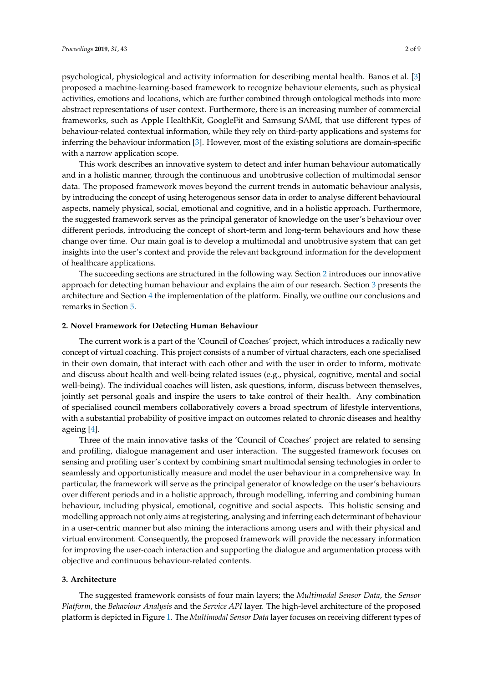psychological, physiological and activity information for describing mental health. Banos et al. [\[3\]](#page-7-2) proposed a machine-learning-based framework to recognize behaviour elements, such as physical activities, emotions and locations, which are further combined through ontological methods into more abstract representations of user context. Furthermore, there is an increasing number of commercial frameworks, such as Apple HealthKit, GoogleFit and Samsung SAMI, that use different types of behaviour-related contextual information, while they rely on third-party applications and systems for inferring the behaviour information [\[3\]](#page-7-2). However, most of the existing solutions are domain-specific with a narrow application scope.

This work describes an innovative system to detect and infer human behaviour automatically and in a holistic manner, through the continuous and unobtrusive collection of multimodal sensor data. The proposed framework moves beyond the current trends in automatic behaviour analysis, by introducing the concept of using heterogenous sensor data in order to analyse different behavioural aspects, namely physical, social, emotional and cognitive, and in a holistic approach. Furthermore, the suggested framework serves as the principal generator of knowledge on the user's behaviour over different periods, introducing the concept of short-term and long-term behaviours and how these change over time. Our main goal is to develop a multimodal and unobtrusive system that can get insights into the user's context and provide the relevant background information for the development of healthcare applications.

The succeeding sections are structured in the following way. Section [2](#page-1-0) introduces our innovative approach for detecting human behaviour and explains the aim of our research. Section [3](#page-1-1) presents the architecture and Section [4](#page-3-0) the implementation of the platform. Finally, we outline our conclusions and remarks in Section [5.](#page-7-3)

#### <span id="page-1-0"></span>**2. Novel Framework for Detecting Human Behaviour**

The current work is a part of the 'Council of Coaches' project, which introduces a radically new concept of virtual coaching. This project consists of a number of virtual characters, each one specialised in their own domain, that interact with each other and with the user in order to inform, motivate and discuss about health and well-being related issues (e.g., physical, cognitive, mental and social well-being). The individual coaches will listen, ask questions, inform, discuss between themselves, jointly set personal goals and inspire the users to take control of their health. Any combination of specialised council members collaboratively covers a broad spectrum of lifestyle interventions, with a substantial probability of positive impact on outcomes related to chronic diseases and healthy ageing [\[4\]](#page-7-4).

Three of the main innovative tasks of the 'Council of Coaches' project are related to sensing and profiling, dialogue management and user interaction. The suggested framework focuses on sensing and profiling user's context by combining smart multimodal sensing technologies in order to seamlessly and opportunistically measure and model the user behaviour in a comprehensive way. In particular, the framework will serve as the principal generator of knowledge on the user's behaviours over different periods and in a holistic approach, through modelling, inferring and combining human behaviour, including physical, emotional, cognitive and social aspects. This holistic sensing and modelling approach not only aims at registering, analysing and inferring each determinant of behaviour in a user-centric manner but also mining the interactions among users and with their physical and virtual environment. Consequently, the proposed framework will provide the necessary information for improving the user-coach interaction and supporting the dialogue and argumentation process with objective and continuous behaviour-related contents.

#### <span id="page-1-1"></span>**3. Architecture**

The suggested framework consists of four main layers; the *Multimodal Sensor Data*, the *Sensor Platform*, the *Behaviour Analysis* and the *Service API* layer. The high-level architecture of the proposed platform is depicted in Figure [1.](#page-2-0) The *Multimodal Sensor Data* layer focuses on receiving different types of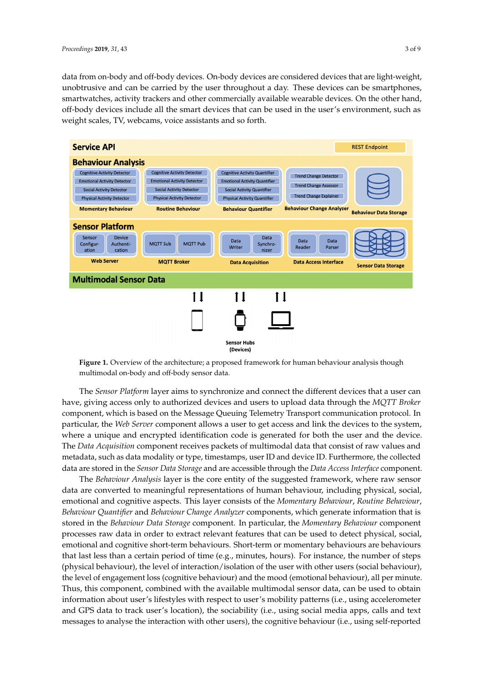data from on-body and off-body devices. On-body devices are considered devices that are light-weight, unobtrusive and can be carried by the user throughout a day. These devices can be smartphones, smartwatches, activity trackers and other commercially available wearable devices. On the other hand, off-body devices include all the smart devices that can be used in the user's environment, such as weight scales, TV, webcams, voice assistants and so forth.

<span id="page-2-0"></span>

**Figure 1.** Overview of the architecture; a proposed framework for human behaviour analysis though multimodal on-body and off-body sensor data.

The *Sensor Platform* layer aims to synchronize and connect the different devices that a user can have, giving access only to authorized devices and users to upload data through the *MQTT Broker* component, which is based on the Message Queuing Telemetry Transport communication protocol. In particular, the *Web Server* component allows a user to get access and link the devices to the system, where a unique and encrypted identification code is generated for both the user and the device. The *Data Acquisition* component receives packets of multimodal data that consist of raw values and metadata, such as data modality or type, timestamps, user ID and device ID. Furthermore, the collected data are stored in the *Sensor Data Storage* and are accessible through the *Data Access Interface* component.

The *Behaviour Analysis* layer is the core entity of the suggested framework, where raw sensor data are converted to meaningful representations of human behaviour, including physical, social, emotional and cognitive aspects. This layer consists of the *Momentary Behaviour*, *Routine Behaviour*, *Behaviour Quantifier* and *Behaviour Change Analyzer* components, which generate information that is stored in the *Behaviour Data Storage* component. In particular, the *Momentary Behaviour* component processes raw data in order to extract relevant features that can be used to detect physical, social, emotional and cognitive short-term behaviours. Short-term or momentary behaviours are behaviours that last less than a certain period of time (e.g., minutes, hours). For instance, the number of steps (physical behaviour), the level of interaction/isolation of the user with other users (social behaviour), the level of engagement loss (cognitive behaviour) and the mood (emotional behaviour), all per minute. Thus, this component, combined with the available multimodal sensor data, can be used to obtain information about user's lifestyles with respect to user's mobility patterns (i.e., using accelerometer and GPS data to track user's location), the sociability (i.e., using social media apps, calls and text messages to analyse the interaction with other users), the cognitive behaviour (i.e., using self-reported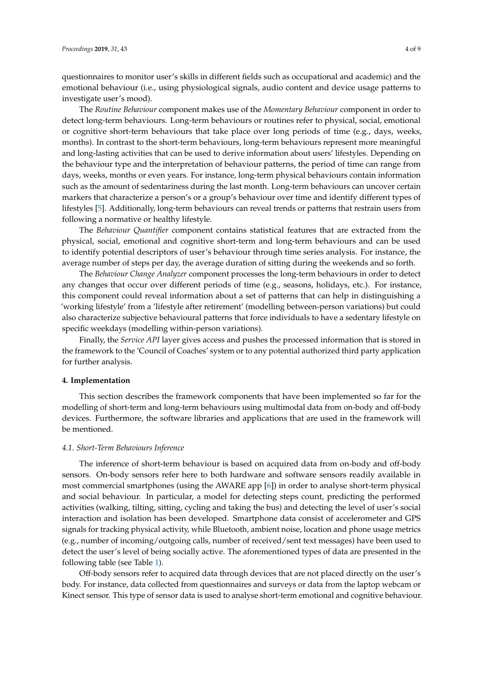questionnaires to monitor user's skills in different fields such as occupational and academic) and the emotional behaviour (i.e., using physiological signals, audio content and device usage patterns to investigate user's mood).

The *Routine Behaviour* component makes use of the *Momentary Behaviour* component in order to detect long-term behaviours. Long-term behaviours or routines refer to physical, social, emotional or cognitive short-term behaviours that take place over long periods of time (e.g., days, weeks, months). In contrast to the short-term behaviours, long-term behaviours represent more meaningful and long-lasting activities that can be used to derive information about users' lifestyles. Depending on the behaviour type and the interpretation of behaviour patterns, the period of time can range from days, weeks, months or even years. For instance, long-term physical behaviours contain information such as the amount of sedentariness during the last month. Long-term behaviours can uncover certain markers that characterize a person's or a group's behaviour over time and identify different types of lifestyles [\[5\]](#page-7-5). Additionally, long-term behaviours can reveal trends or patterns that restrain users from following a normative or healthy lifestyle.

The *Behaviour Quantifier* component contains statistical features that are extracted from the physical, social, emotional and cognitive short-term and long-term behaviours and can be used to identify potential descriptors of user's behaviour through time series analysis. For instance, the average number of steps per day, the average duration of sitting during the weekends and so forth.

The *Behaviour Change Analyzer* component processes the long-term behaviours in order to detect any changes that occur over different periods of time (e.g., seasons, holidays, etc.). For instance, this component could reveal information about a set of patterns that can help in distinguishing a 'working lifestyle' from a 'lifestyle after retirement' (modelling between-person variations) but could also characterize subjective behavioural patterns that force individuals to have a sedentary lifestyle on specific weekdays (modelling within-person variations).

Finally, the *Service API* layer gives access and pushes the processed information that is stored in the framework to the 'Council of Coaches' system or to any potential authorized third party application for further analysis.

#### <span id="page-3-0"></span>**4. Implementation**

This section describes the framework components that have been implemented so far for the modelling of short-term and long-term behaviours using multimodal data from on-body and off-body devices. Furthermore, the software libraries and applications that are used in the framework will be mentioned.

#### *4.1. Short-Term Behaviours Inference*

The inference of short-term behaviour is based on acquired data from on-body and off-body sensors. On-body sensors refer here to both hardware and software sensors readily available in most commercial smartphones (using the AWARE app [\[6\]](#page-7-6)) in order to analyse short-term physical and social behaviour. In particular, a model for detecting steps count, predicting the performed activities (walking, tilting, sitting, cycling and taking the bus) and detecting the level of user's social interaction and isolation has been developed. Smartphone data consist of accelerometer and GPS signals for tracking physical activity, while Bluetooth, ambient noise, location and phone usage metrics (e.g., number of incoming/outgoing calls, number of received/sent text messages) have been used to detect the user's level of being socially active. The aforementioned types of data are presented in the following table (see Table [1\)](#page-4-0).

Off-body sensors refer to acquired data through devices that are not placed directly on the user's body. For instance, data collected from questionnaires and surveys or data from the laptop webcam or Kinect sensor. This type of sensor data is used to analyse short-term emotional and cognitive behaviour.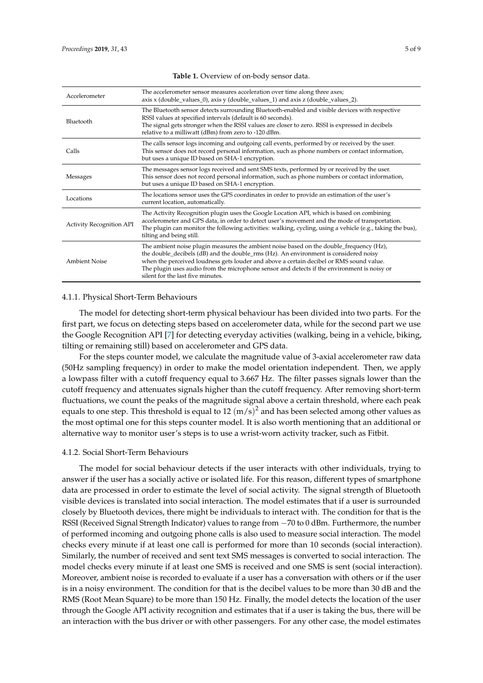<span id="page-4-0"></span>

| Accelerometer                   | The accelerometer sensor measures acceleration over time along three axes;<br>axis x (double_values_0), axis y (double_values_1) and axis z (double_values_2).                                                                                                                                                                                                                                                 |
|---------------------------------|----------------------------------------------------------------------------------------------------------------------------------------------------------------------------------------------------------------------------------------------------------------------------------------------------------------------------------------------------------------------------------------------------------------|
| Bluetooth                       | The Bluetooth sensor detects surrounding Bluetooth-enabled and visible devices with respective<br>RSSI values at specified intervals (default is 60 seconds).<br>The signal gets stronger when the RSSI values are closer to zero. RSSI is expressed in decibels<br>relative to a milliwatt (dBm) from zero to -120 dBm.                                                                                       |
| Calls                           | The calls sensor logs incoming and outgoing call events, performed by or received by the user.<br>This sensor does not record personal information, such as phone numbers or contact information,<br>but uses a unique ID based on SHA-1 encryption.                                                                                                                                                           |
| Messages                        | The messages sensor logs received and sent SMS texts, performed by or received by the user.<br>This sensor does not record personal information, such as phone numbers or contact information,<br>but uses a unique ID based on SHA-1 encryption.                                                                                                                                                              |
| Locations                       | The locations sensor uses the GPS coordinates in order to provide an estimation of the user's<br>current location, automatically.                                                                                                                                                                                                                                                                              |
| <b>Activity Recognition API</b> | The Activity Recognition plugin uses the Google Location API, which is based on combining<br>accelerometer and GPS data, in order to detect user's movement and the mode of transportation.<br>The plugin can monitor the following activities: walking, cycling, using a vehicle (e.g., taking the bus),<br>tilting and being still.                                                                          |
| <b>Ambient Noise</b>            | The ambient noise plugin measures the ambient noise based on the double_frequency (Hz),<br>the double_decibels (dB) and the double_rms (Hz). An environment is considered noisy<br>when the perceived loudness gets louder and above a certain decibel or RMS sound value.<br>The plugin uses audio from the microphone sensor and detects if the environment is noisy or<br>silent for the last five minutes. |

**Table 1.** Overview of on-body sensor data.

#### 4.1.1. Physical Short-Term Behaviours

The model for detecting short-term physical behaviour has been divided into two parts. For the first part, we focus on detecting steps based on accelerometer data, while for the second part we use the Google Recognition API [\[7\]](#page-7-7) for detecting everyday activities (walking, being in a vehicle, biking, tilting or remaining still) based on accelerometer and GPS data.

For the steps counter model, we calculate the magnitude value of 3-axial accelerometer raw data (50Hz sampling frequency) in order to make the model orientation independent. Then, we apply a lowpass filter with a cutoff frequency equal to 3.667 Hz. The filter passes signals lower than the cutoff frequency and attenuates signals higher than the cutoff frequency. After removing short-term fluctuations, we count the peaks of the magnitude signal above a certain threshold, where each peak equals to one step. This threshold is equal to 12  $(m/s)^2$  and has been selected among other values as the most optimal one for this steps counter model. It is also worth mentioning that an additional or alternative way to monitor user's steps is to use a wrist-worn activity tracker, such as Fitbit.

#### 4.1.2. Social Short-Term Behaviours

The model for social behaviour detects if the user interacts with other individuals, trying to answer if the user has a socially active or isolated life. For this reason, different types of smartphone data are processed in order to estimate the level of social activity. The signal strength of Bluetooth visible devices is translated into social interaction. The model estimates that if a user is surrounded closely by Bluetooth devices, there might be individuals to interact with. The condition for that is the RSSI (Received Signal Strength Indicator) values to range from −70 to 0 dBm. Furthermore, the number of performed incoming and outgoing phone calls is also used to measure social interaction. The model checks every minute if at least one call is performed for more than 10 seconds (social interaction). Similarly, the number of received and sent text SMS messages is converted to social interaction. The model checks every minute if at least one SMS is received and one SMS is sent (social interaction). Moreover, ambient noise is recorded to evaluate if a user has a conversation with others or if the user is in a noisy environment. The condition for that is the decibel values to be more than 30 dB and the RMS (Root Mean Square) to be more than 150 Hz. Finally, the model detects the location of the user through the Google API activity recognition and estimates that if a user is taking the bus, there will be an interaction with the bus driver or with other passengers. For any other case, the model estimates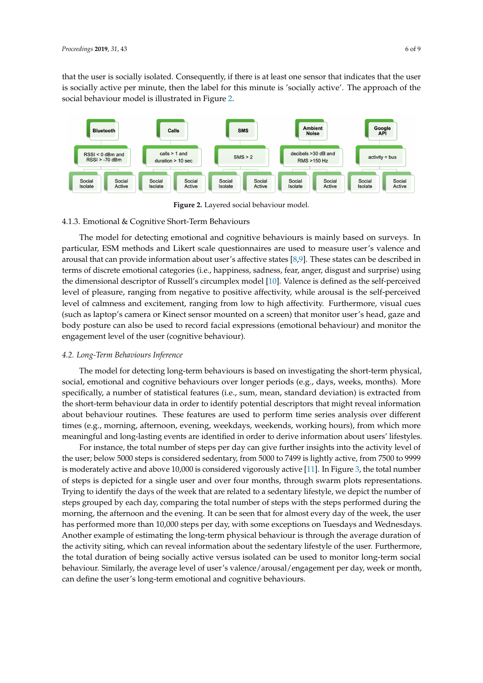that the user is socially isolated. Consequently, if there is at least one sensor that indicates that the user is socially active per minute, then the label for this minute is 'socially active'. The approach of the social behaviour model is illustrated in Figure [2.](#page-5-0)

<span id="page-5-0"></span>

**Figure 2.** Layered social behaviour model.

#### 4.1.3. Emotional & Cognitive Short-Term Behaviours

The model for detecting emotional and cognitive behaviours is mainly based on surveys. In particular, ESM methods and Likert scale questionnaires are used to measure user's valence and arousal that can provide information about user's affective states [\[8,](#page-7-8)[9\]](#page-7-9). These states can be described in terms of discrete emotional categories (i.e., happiness, sadness, fear, anger, disgust and surprise) using the dimensional descriptor of Russell's circumplex model [\[10\]](#page-7-10). Valence is defined as the self-perceived level of pleasure, ranging from negative to positive affectivity, while arousal is the self-perceived level of calmness and excitement, ranging from low to high affectivity. Furthermore, visual cues (such as laptop's camera or Kinect sensor mounted on a screen) that monitor user's head, gaze and body posture can also be used to record facial expressions (emotional behaviour) and monitor the engagement level of the user (cognitive behaviour).

#### *4.2. Long-Term Behaviours Inference*

The model for detecting long-term behaviours is based on investigating the short-term physical, social, emotional and cognitive behaviours over longer periods (e.g., days, weeks, months). More specifically, a number of statistical features (i.e., sum, mean, standard deviation) is extracted from the short-term behaviour data in order to identify potential descriptors that might reveal information about behaviour routines. These features are used to perform time series analysis over different times (e.g., morning, afternoon, evening, weekdays, weekends, working hours), from which more meaningful and long-lasting events are identified in order to derive information about users' lifestyles.

For instance, the total number of steps per day can give further insights into the activity level of the user; below 5000 steps is considered sedentary, from 5000 to 7499 is lightly active, from 7500 to 9999 is moderately active and above 10,000 is considered vigorously active [\[11\]](#page-7-11). In Figure [3,](#page-6-0) the total number of steps is depicted for a single user and over four months, through swarm plots representations. Trying to identify the days of the week that are related to a sedentary lifestyle, we depict the number of steps grouped by each day, comparing the total number of steps with the steps performed during the morning, the afternoon and the evening. It can be seen that for almost every day of the week, the user has performed more than 10,000 steps per day, with some exceptions on Tuesdays and Wednesdays. Another example of estimating the long-term physical behaviour is through the average duration of the activity siting, which can reveal information about the sedentary lifestyle of the user. Furthermore, the total duration of being socially active versus isolated can be used to monitor long-term social behaviour. Similarly, the average level of user's valence/arousal/engagement per day, week or month, can define the user's long-term emotional and cognitive behaviours.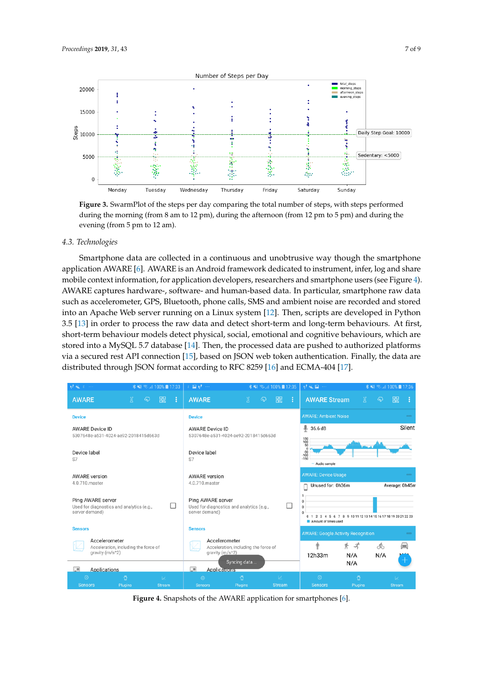<span id="page-6-0"></span>

**Figure 3.** SwarmPlot of the steps per day comparing the total number of steps, with steps performed during the morning (from 8 am to 12 pm), during the afternoon (from 12 pm to 5 pm) and during the evening (from 5 pm to 12 am).

#### *4.3. Technologies*

Smartphone data are collected in a continuous and unobtrusive way though the smartphone application AWARE [\[6\]](#page-7-6). AWARE is an Android framework dedicated to instrument, infer, log and share mobile context information, for application developers, researchers and smartphone users (see Figure [4\)](#page-6-1). AWARE captures hardware-, software- and human-based data. In particular, smartphone raw data such as accelerometer, GPS, Bluetooth, phone calls, SMS and ambient noise are recorded and stored into an Apache Web server running on a Linux system [\[12\]](#page-8-0). Then, scripts are developed in Python 3.5 [\[13\]](#page-8-1) in order to process the raw data and detect short-term and long-term behaviours. At first, short-term behaviour models detect physical, social, emotional and cognitive behaviours, which are stored into a MySQL 5.7 database [\[14\]](#page-8-2). Then, the processed data are pushed to authorized platforms via a secured rest API connection [\[15\]](#page-8-3), based on JSON web token authentication. Finally, the data are distributed through JSON format according to RFC 8259 [\[16\]](#page-8-4) and ECMA-404 [\[17\]](#page-8-5).

<span id="page-6-1"></span>

**Figure 4.** Snapshots of the AWARE application for smartphones [\[6\]](#page-7-6).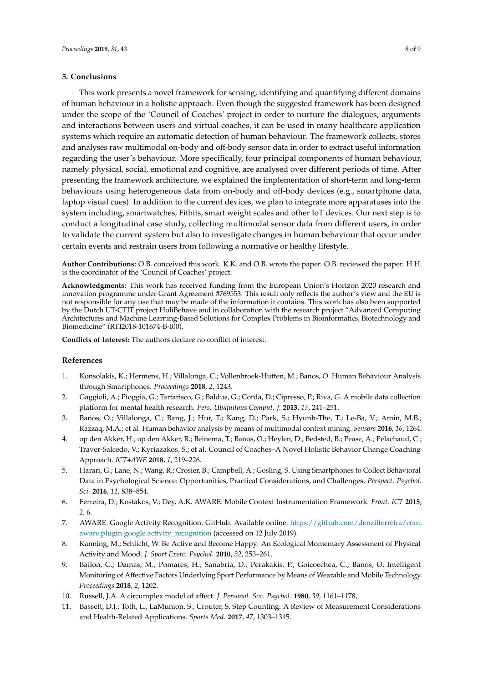#### <span id="page-7-3"></span>**5. Conclusions**

This work presents a novel framework for sensing, identifying and quantifying different domains of human behaviour in a holistic approach. Even though the suggested framework has been designed under the scope of the 'Council of Coaches' project in order to nurture the dialogues, arguments and interactions between users and virtual coaches, it can be used in many healthcare application systems which require an automatic detection of human behaviour. The framework collects, stores and analyses raw multimodal on-body and off-body sensor data in order to extract useful information regarding the user's behaviour. More specifically, four principal components of human behaviour, namely physical, social, emotional and cognitive, are analysed over different periods of time. After presenting the framework architecture, we explained the implementation of short-term and long-term behaviours using heterogeneous data from on-body and off-body devices (e.g., smartphone data, laptop visual cues). In addition to the current devices, we plan to integrate more apparatuses into the system including, smartwatches, Fitbits, smart weight scales and other IoT devices. Our next step is to conduct a longitudinal case study, collecting multimodal sensor data from different users, in order to validate the current system but also to investigate changes in human behaviour that occur under certain events and restrain users from following a normative or healthy lifestyle.

**Author Contributions:** O.B. conceived this work. K.K. and O.B. wrote the paper. O.B. reviewed the paper. H.H. is the coordinator of the 'Council of Coaches' project.

**Acknowledgments:** This work has received funding from the European Union's Horizon 2020 research and innovation programme under Grant Agreement #769553. This result only reflects the author's view and the EU is not responsible for any use that may be made of the information it contains. This work has also been supported by the Dutch UT-CTIT project HoliBehave and in collaboration with the research project "Advanced Computing Architectures and Machine Learning-Based Solutions for Complex Problems in Bioinformatics, Biotechnology and Biomedicine" (RTI2018-101674-B-I00).

**Conflicts of Interest:** The authors declare no conflict of interest.

#### **References**

- <span id="page-7-0"></span>1. Konsolakis, K.; Hermens, H.; Villalonga, C.; Vollenbroek-Hutten, M.; Banos, O. Human Behaviour Analysis through Smartphones. *Proceedings* **2018**, *2*, 1243.
- <span id="page-7-1"></span>2. Gaggioli, A.; Pioggia, G.; Tartarisco, G.; Baldus, G.; Corda, D.; Cipresso, P.; Riva, G. A mobile data collection platform for mental health research. *Pers. Ubiquitous Comput. J.* **2013**, *17*, 241–251.
- <span id="page-7-2"></span>3. Banos, O.; Villalonga, C.; Bang, J.; Hur, T.; Kang, D.; Park, S.; Hyunh-The, T.; Le-Ba, V.; Amin, M.B.; Razzaq, M.A.; et al. Human behavior analysis by means of multimodal context mining. *Sensors* **2016**, *16*, 1264.
- <span id="page-7-4"></span>4. op den Akker, H.; op den Akker, R.; Beinema, T.; Banos, O.; Heylen, D.; Bedsted, B.; Pease, A.; Pelachaud, C.; Traver-Salcedo, V.; Kyriazakos, S.; et al. Council of Coaches–A Novel Holistic Behavior Change Coaching Approach. *ICT4AWE* **2018**, *1*, 219–226.
- <span id="page-7-5"></span>5. Harari, G.; Lane, N.; Wang, R.; Crosier, B.; Campbell, A.; Gosling, S. Using Smartphones to Collect Behavioral Data in Psychological Science: Opportunities, Practical Considerations, and Challenges. *Perspect. Psychol. Sci.* **2016**, *11*, 838–854.
- <span id="page-7-6"></span>6. Ferreira, D.; Kostakos, V.; Dey, A.K. AWARE: Mobile Context Instrumentation Framework. *Front. ICT* **2015**, *2*, 6.
- <span id="page-7-7"></span>7. AWARE: Google Activity Recognition. GitHub. Available online: [https://github.com/denzilferreira/com.](https://github.com/denzilferreira/com.aware.plugin.google.activity_recognition) [aware.plugin.google.activity\\_recognition](https://github.com/denzilferreira/com.aware.plugin.google.activity_recognition) (accessed on 12 July 2019).
- <span id="page-7-8"></span>8. Kanning, M.; Schlicht, W. Be Active and Become Happy: An Ecological Momentary Assessment of Physical Activity and Mood. *J. Sport Exerc. Psychol.* **2010**, *32*, 253–261.
- <span id="page-7-9"></span>9. Bailon, C.; Damas, M.; Pomares, H.; Sanabria, D.; Perakakis, P.; Goicoechea, C.; Banos, O. Intelligent Monitoring of Affective Factors Underlying Sport Performance by Means of Wearable and Mobile Technology. *Proceedings* **2018**, *2*, 1202.
- <span id="page-7-10"></span>10. Russell, J.A. A circumplex model of affect. *J. Personal. Soc. Psychol.* **1980**, *39*, 1161–1178,
- <span id="page-7-11"></span>11. Bassett, D.J.; Toth, L.; LaMunion, S.; Crouter, S. Step Counting: A Review of Measurement Considerations and Health-Related Applications. *Sports Med.* **2017**, *47*, 1303–1315.